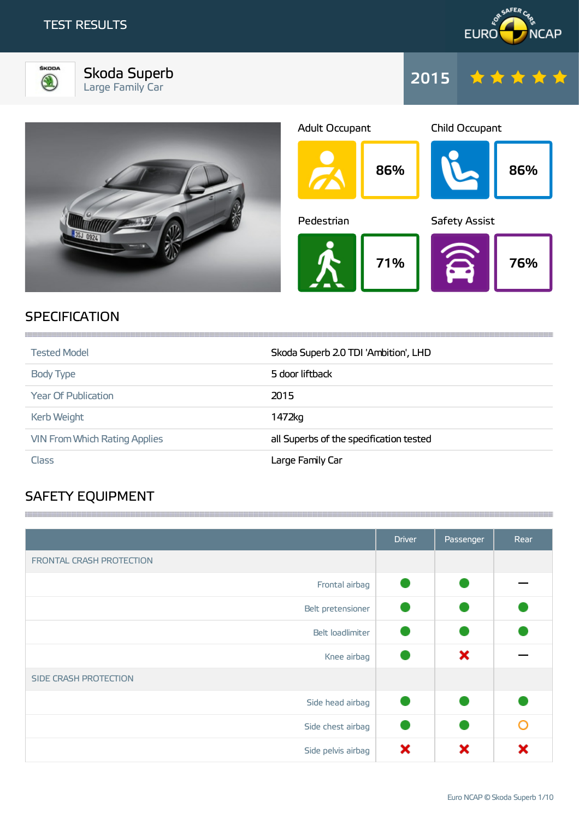



Skoda Superb Large Family Car







# **SPECIFICATION**

| <b>Tested Model</b>                  | Skoda Superb 2.0 TDI 'Ambition', LHD    |
|--------------------------------------|-----------------------------------------|
| Body Type                            | 5 door liftback                         |
| <b>Year Of Publication</b>           | 2015                                    |
| <b>Kerb Weight</b>                   | 1472kg                                  |
| <b>VIN From Which Rating Applies</b> | all Superbs of the specification tested |
| Class                                | Large Family Car                        |

**1999年10月19日,1月19日,1月19日,1月19日,1月19日,1月19日,1月19日,1月19日,1月19日,1月19日,1月19日,1月19日,1月1** 

,我们就会在这里,我们就会在这里,我们就会在这里,我们就会在这里,我们就会在这里,我们就会在这里,我们就会在这里,我们就会在这里,我们就会在这里,我们就会在这里

# SAFETY EQUIPMENT

|                          | <b>Driver</b> | Passenger | Rear |
|--------------------------|---------------|-----------|------|
| FRONTAL CRASH PROTECTION |               |           |      |
| Frontal airbag           |               |           |      |
| Belt pretensioner        |               |           |      |
| Belt loadlimiter         |               |           |      |
| Knee airbag              |               | ×         |      |
| SIDE CRASH PROTECTION    |               |           |      |
| Side head airbag         |               |           |      |
| Side chest airbag        |               |           | ∩    |
| Side pelvis airbag       | ×             | x         | x    |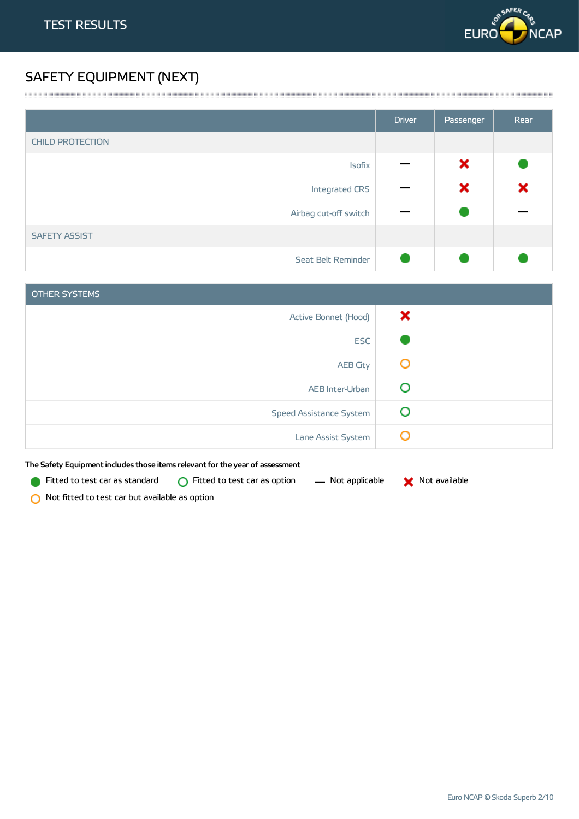

# SAFETY EQUIPMENT (NEXT)

|                         | <b>Driver</b> | Passenger | Rear |
|-------------------------|---------------|-----------|------|
| <b>CHILD PROTECTION</b> |               |           |      |
| <b>Isofix</b>           |               | ×         |      |
| Integrated CRS          |               | ×         | ×    |
| Airbag cut-off switch   |               |           |      |
| <b>SAFETY ASSIST</b>    |               |           |      |
| Seat Belt Reminder      |               |           |      |

| <b>OTHER SYSTEMS</b>    |   |
|-------------------------|---|
| Active Bonnet (Hood)    | × |
| <b>ESC</b>              |   |
| <b>AEB City</b>         | Ő |
| AEB Inter-Urban         | C |
| Speed Assistance System |   |
| Lane Assist System      | C |

The Safety Equipment includes those items relevant for the year of assessment

Fitted to test car as standard  $\bigcirc$  Fitted to test car as option  $\qquad$  Not applicable  $\qquad \blacktriangleright$  Not available



O Not fitted to test car but available as option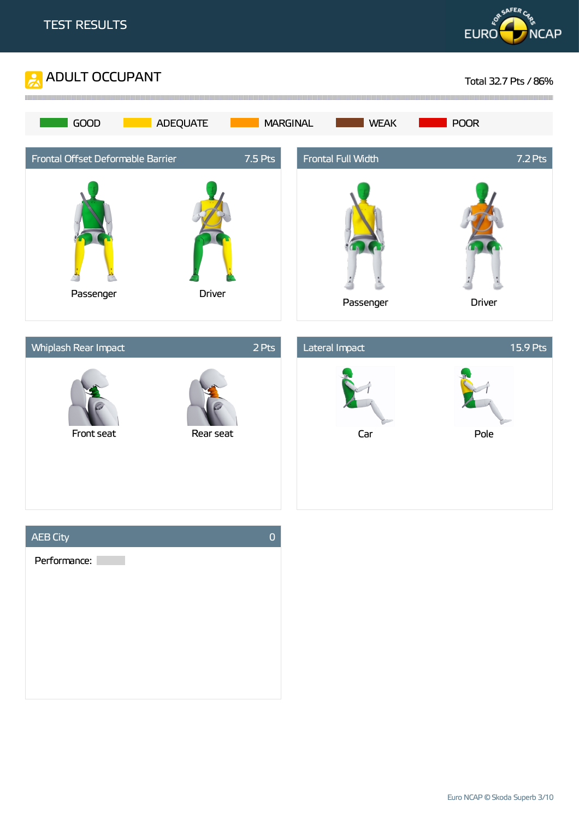





Euro NCAP © Skoda Superb 3/10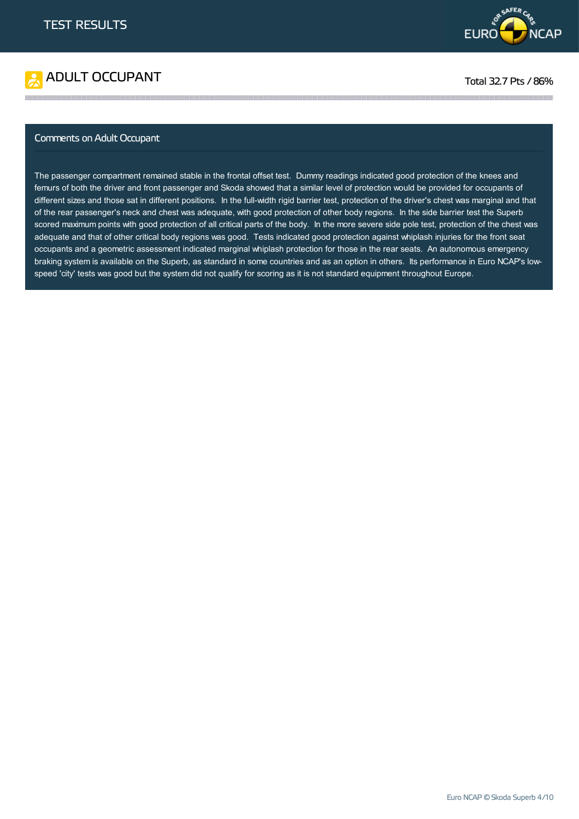



#### Comments on Adult Occupant

The passenger compartment remained stable in the frontal offset test. Dummy readings indicated good protection of the knees and femurs of both the driver and front passenger and Skoda showed that a similar level of protection would be provided for occupants of different sizes and those sat in different positions. In the full-width rigid barrier test, protection of the driver's chest was marginal and that of the rear passenger's neck and chest was adequate, with good protection of other body regions. In the side barrier test the Superb scored maximum points with good protection of all critical parts of the body. In the more severe side pole test, protection of the chest was adequate and that of other critical body regions was good. Tests indicated good protection against whiplash injuries for the front seat occupants and a geometric assessment indicated marginal whiplash protection for those in the rear seats. An autonomous emergency braking system is available on the Superb, as standard in some countries and as an option in others. Its performance in Euro NCAP's lowspeed 'city' tests was good but the system did not qualify for scoring as it is not standard equipment throughout Europe.

**1999年1月19日,1999年1月19日,1999年1月19日,1999年1月19日,1999年1月19日,1999年1月19日,1999年1月19日,1999年1月19日,1999年1月19日,1999年1月19日**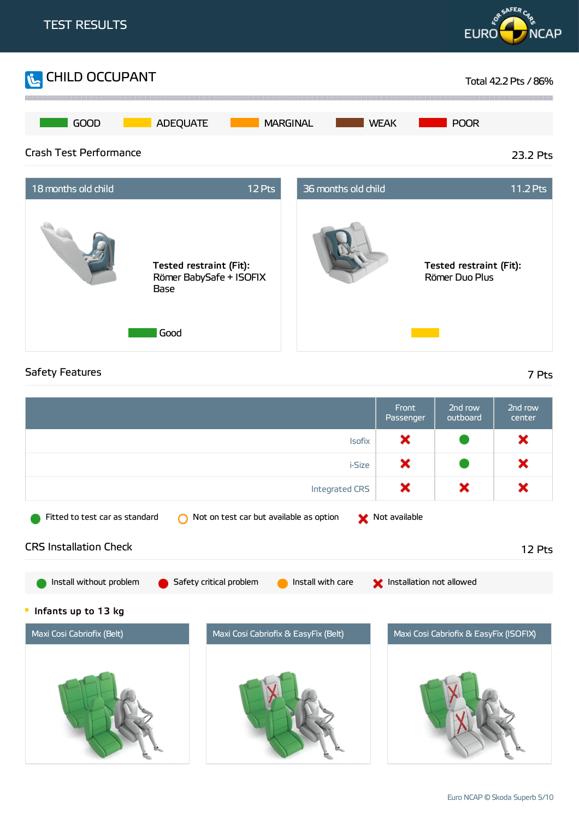

### Safety Features 7 Pts

Front 2nd row 2nd row Passenger outboard center × × Isofix i-Size × × × × × Integrated CRS Fitted to test car as standard  $\bigcirc$  Not on test car but available as option  $\bullet$  Not available CRS Installation Check 12 Pts Install without problem G Safety critical problem G Install with care Schoolation not allowed  $\blacksquare$ Infants up to 13 kg Maxi Cosi Cabriofix (Belt) Maxi Cosi Cabriofix & EasyFix (Belt) Maxi Cosi Cabriofix & EasyFix (ISOFIX)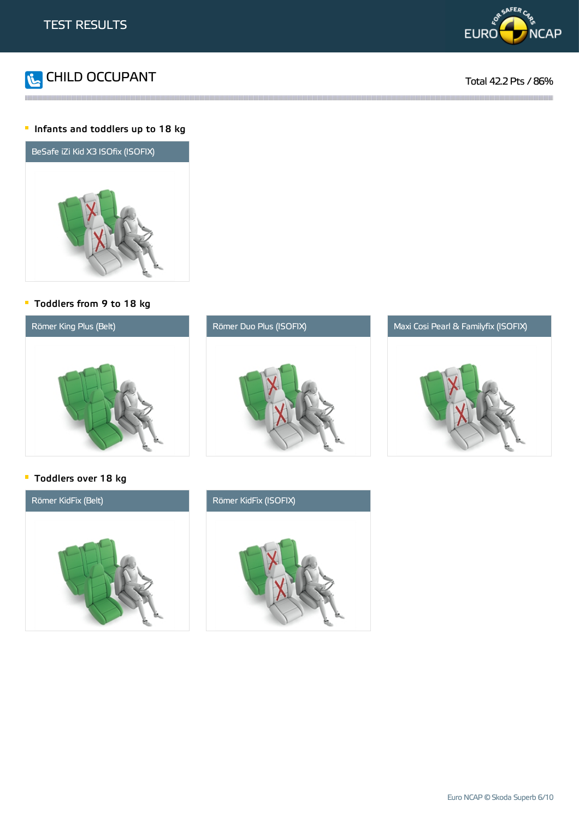



#### **Infants and toddlers up to 18 kg**



#### Toddlers from 9 to 18 kg



#### **Toddlers over 18 kg**



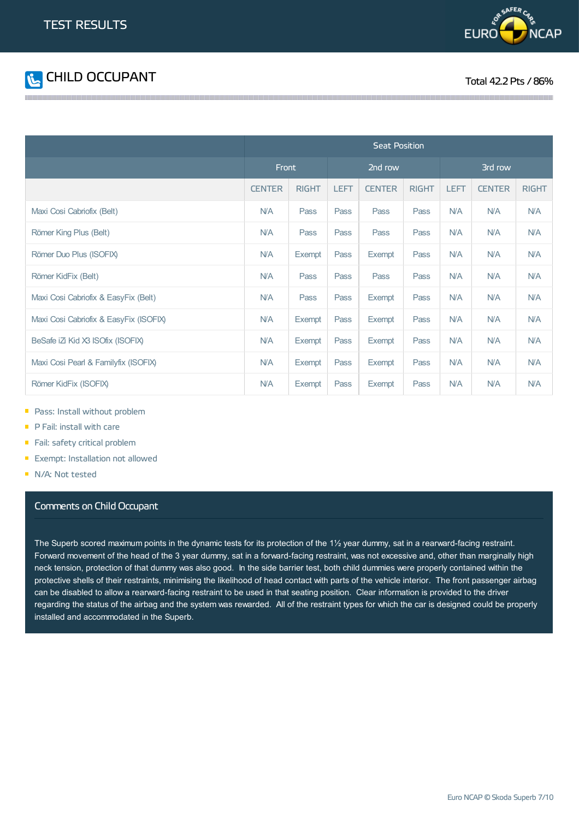



|                                        | <b>Seat Position</b> |              |             |               |              |             |               |              |
|----------------------------------------|----------------------|--------------|-------------|---------------|--------------|-------------|---------------|--------------|
|                                        | Front                |              | 2nd row     |               | 3rd row      |             |               |              |
|                                        | <b>CENTER</b>        | <b>RIGHT</b> | <b>LEFT</b> | <b>CENTER</b> | <b>RIGHT</b> | <b>LEFT</b> | <b>CENTER</b> | <b>RIGHT</b> |
| Maxi Cosi Cabriofix (Belt)             | <b>N/A</b>           | Pass         | Pass        | Pass          | Pass         | <b>N/A</b>  | <b>N/A</b>    | <b>N/A</b>   |
| Römer King Plus (Belt)                 | <b>N/A</b>           | Pass         | Pass        | Pass          | Pass         | <b>N/A</b>  | <b>N/A</b>    | N/A          |
| Römer Duo Plus (ISOFIX)                | <b>N/A</b>           | Exempt       | Pass        | Exempt        | Pass         | N/A         | <b>N/A</b>    | <b>N/A</b>   |
| Römer KidFix (Belt)                    | <b>N/A</b>           | Pass         | Pass        | Pass          | Pass         | <b>N/A</b>  | <b>N/A</b>    | <b>N/A</b>   |
| Maxi Cosi Cabriofix & EasyFix (Belt)   | <b>N/A</b>           | Pass         | Pass        | Exempt        | Pass         | N/A         | N/A           | N/A          |
| Maxi Cosi Cabriofix & EasyFix (ISOFIX) | <b>N/A</b>           | Exempt       | Pass        | Exempt        | Pass         | <b>N/A</b>  | <b>N/A</b>    | N/A          |
| BeSafe iZi Kid X3 ISOfix (ISOFIX)      | <b>N/A</b>           | Exempt       | Pass        | Exempt        | Pass         | N/A         | <b>N/A</b>    | <b>N/A</b>   |
| Maxi Cosi Pearl & Familyfix (ISOFIX)   | <b>N/A</b>           | Exempt       | Pass        | Exempt        | Pass         | <b>N/A</b>  | <b>N/A</b>    | <b>N/A</b>   |
| Römer KidFix (ISOFIX)                  | <b>N/A</b>           | Exempt       | Pass        | Exempt        | Pass         | <b>N/A</b>  | <b>N/A</b>    | <b>N/A</b>   |

- **Pass: Install without problem**
- P Fail: install with care
- Fail: safety critical problem
- **Exempt: Installation not allowed**
- N/A: Not tested

#### Comments on Child Occupant

The Superb scored maximum points in the dynamic tests for its protection of the 1½ year dummy, sat in a rearward-facing restraint. Forward movement of the head of the 3 year dummy, sat in a forward-facing restraint, was not excessive and, other than marginally high neck tension, protection of that dummy was also good. In the side barrier test, both child dummies were properly contained within the protective shells of their restraints, minimising the likelihood of head contact with parts of the vehicle interior. The front passenger airbag can be disabled to allow a rearward-facing restraint to be used in that seating position. Clear information is provided to the driver regarding the status of the airbag and the system was rewarded. All of the restraint types for which the car is designed could be properly installed and accommodated in the Superb.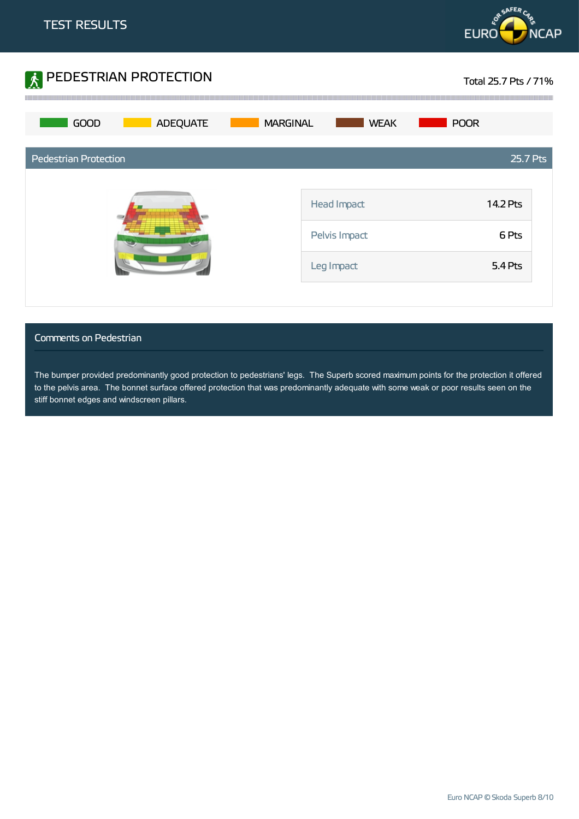



#### Comments on Pedestrian

The bumper provided predominantly good protection to pedestrians' legs. The Superb scored maximum points for the protection it offered to the pelvis area. The bonnet surface offered protection that was predominantly adequate with some weak or poor results seen on the stiff bonnet edges and windscreen pillars.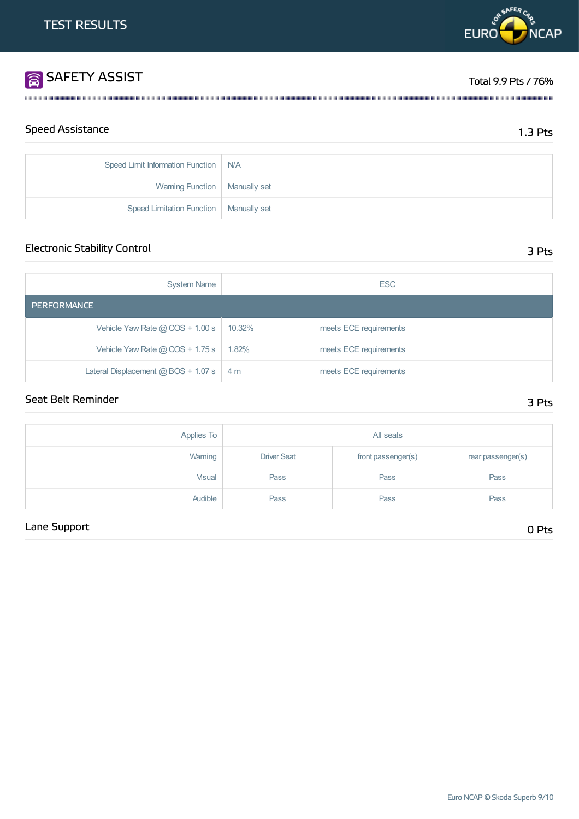# SAFETY ASSIST TOTAL RESERVE TO A SERVE TO A SERVE TO A SERVE TO A SERVE TO A SERVE TO A SERVE TO A SERVE TO A S

| <b>Speed Assistance</b> | $1.3$ Pts |
|-------------------------|-----------|
|-------------------------|-----------|

| Speed Limit Information Function   N/A   |  |
|------------------------------------------|--|
| Warning Function   Manually set          |  |
| Speed Limitation Function   Manually set |  |

## Electronic Stability Control 3 Pts

| <b>System Name</b>                    | <b>ESC</b>     |                        |  |  |
|---------------------------------------|----------------|------------------------|--|--|
| <b>PERFORMANCE</b>                    |                |                        |  |  |
| Vehicle Yaw Rate $@$ COS + 1.00 s     | 10.32%         | meets ECE requirements |  |  |
| Vehicle Yaw Rate $@$ COS + 1.75 s     | 1.82%          | meets ECE requirements |  |  |
| Lateral Displacement $@$ BOS + 1.07 s | 4 <sub>m</sub> | meets ECE requirements |  |  |

# Seat Belt Reminder 3 Pts

| Applies To | All seats          |                    |                   |  |
|------------|--------------------|--------------------|-------------------|--|
| Warning    | <b>Driver Seat</b> | front passenger(s) | rear passenger(s) |  |
| Visual     | Pass               | Pass               | Pass              |  |
| Audible    | Pass               | Pass               | Pass              |  |

# Lane Support 0 Pts